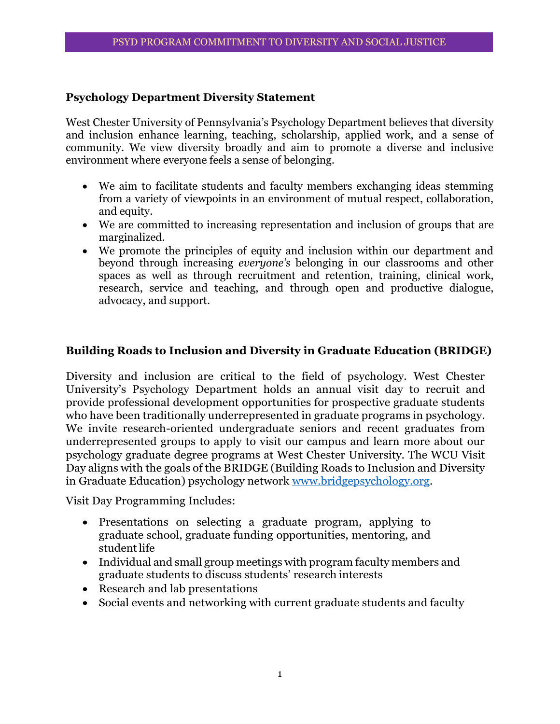## **Psychology Department Diversity Statement**

West Chester University of Pennsylvania's Psychology Department believes that diversity and inclusion enhance learning, teaching, scholarship, applied work, and a sense of community. We view diversity broadly and aim to promote a diverse and inclusive environment where everyone feels a sense of belonging.

- We aim to facilitate students and faculty members exchanging ideas stemming from a variety of viewpoints in an environment of mutual respect, collaboration, and equity.
- We are committed to increasing representation and inclusion of groups that are marginalized.
- We promote the principles of equity and inclusion within our department and beyond through increasing *everyone's* belonging in our classrooms and other spaces as well as through recruitment and retention, training, clinical work, research, service and teaching, and through open and productive dialogue, advocacy, and support.

## **Building Roads to Inclusion and Diversity in Graduate Education (BRIDGE)**

Diversity and inclusion are critical to the field of psychology. West Chester University's Psychology Department holds an annual visit day to recruit and provide professional development opportunities for prospective graduate students who have been traditionally underrepresented in graduate programs in psychology. We invite research-oriented undergraduate seniors and recent graduates from underrepresented groups to apply to visit our campus and learn more about our psychology graduate degree programs at West Chester University. The WCU Visit Day aligns with the goals of the BRIDGE (Building Roads to Inclusion and Diversity in Graduate Education) psychology network [www.bridgepsychology.org.](http://www.bridgepsychology.org/)

Visit Day Programming Includes:

- Presentations on selecting a graduate program, applying to graduate school, graduate funding opportunities, mentoring, and student life
- Individual and small group meetings with program faculty members and graduate students to discuss students' research interests
- Research and lab presentations
- Social events and networking with current graduate students and faculty